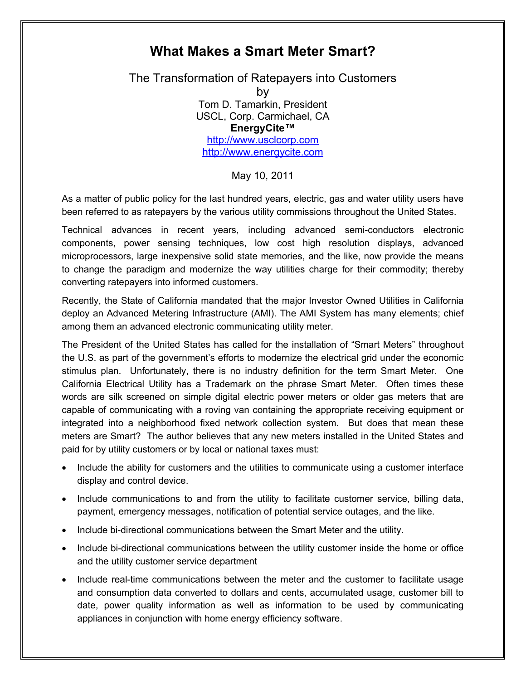## **What Makes a Smart Meter Smart?**

The Transformation of Ratepayers into Customers by Tom D. Tamarkin, President USCL, Corp. Carmichael, CA **EnergyCite"** <http://www.usclcorp.com> [http://www.energycite.c](http://www.energycite.us)om

May 10, 2011

As a matter of public policy for the last hundred years, electric, gas and water utility users have been referred to as ratepayers by the various utility commissions throughout the United States.

Technical advances in recent years, including advanced semi-conductors electronic components, power sensing techniques, low cost high resolution displays, advanced microprocessors, large inexpensive solid state memories, and the like, now provide the means to change the paradigm and modernize the way utilities charge for their commodity; thereby converting ratepayers into informed customers.

Recently, the State of California mandated that the major Investor Owned Utilities in California deploy an Advanced Metering Infrastructure (AMI). The AMI System has many elements; chief among them an advanced electronic communicating utility meter.

The President of the United States has called for the installation of "Smart Meters" throughout the U.S. as part of the government's efforts to modernize the electrical grid under the economic stimulus plan. Unfortunately, there is no industry definition for the term Smart Meter. One California Electrical Utility has a Trademark on the phrase Smart Meter. Often times these words are silk screened on simple digital electric power meters or older gas meters that are capable of communicating with a roving van containing the appropriate receiving equipment or integrated into a neighborhood fixed network collection system. But does that mean these meters are Smart? The author believes that any new meters installed in the United States and paid for by utility customers or by local or national taxes must:

- Include the ability for customers and the utilities to communicate using a customer interface display and control device.
- · Include communications to and from the utility to facilitate customer service, billing data, payment, emergency messages, notification of potential service outages, and the like.
- · Include bi-directional communications between the Smart Meter and the utility.
- · Include bi-directional communications between the utility customer inside the home or office and the utility customer service department
- · Include real-time communications between the meter and the customer to facilitate usage and consumption data converted to dollars and cents, accumulated usage, customer bill to date, power quality information as well as information to be used by communicating appliances in conjunction with home energy efficiency software.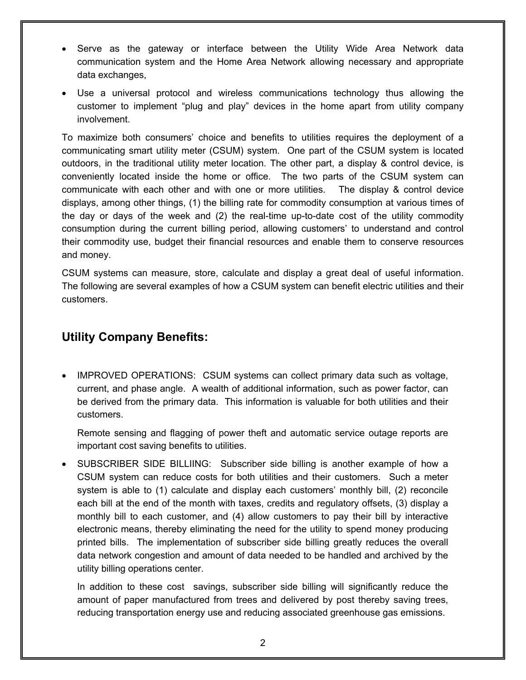- · Serve as the gateway or interface between the Utility Wide Area Network data communication system and the Home Area Network allowing necessary and appropriate data exchanges,
- · Use a universal protocol and wireless communications technology thus allowing the customer to implement "plug and play" devices in the home apart from utility company involvement.

To maximize both consumers' choice and benefits to utilities requires the deployment of a communicating smart utility meter (CSUM) system. One part of the CSUM system is located outdoors, in the traditional utility meter location. The other part, a display & control device, is conveniently located inside the home or office. The two parts of the CSUM system can communicate with each other and with one or more utilities. The display & control device displays, among other things, (1) the billing rate for commodity consumption at various times of the day or days of the week and (2) the real-time up-to-date cost of the utility commodity consumption during the current billing period, allowing customers' to understand and control their commodity use, budget their financial resources and enable them to conserve resources and money.

CSUM systems can measure, store, calculate and display a great deal of useful information. The following are several examples of how a CSUM system can benefit electric utilities and their customers.

## **Utility Company Benefits:**

· IMPROVED OPERATIONS: CSUM systems can collect primary data such as voltage, current, and phase angle. A wealth of additional information, such as power factor, can be derived from the primary data. This information is valuable for both utilities and their customers.

Remote sensing and flagging of power theft and automatic service outage reports are important cost saving benefits to utilities.

SUBSCRIBER SIDE BILLIING: Subscriber side billing is another example of how a CSUM system can reduce costs for both utilities and their customers. Such a meter system is able to (1) calculate and display each customers' monthly bill, (2) reconcile each bill at the end of the month with taxes, credits and regulatory offsets, (3) display a monthly bill to each customer, and (4) allow customers to pay their bill by interactive electronic means, thereby eliminating the need for the utility to spend money producing printed bills. The implementation of subscriber side billing greatly reduces the overall data network congestion and amount of data needed to be handled and archived by the utility billing operations center.

In addition to these cost savings, subscriber side billing will significantly reduce the amount of paper manufactured from trees and delivered by post thereby saving trees, reducing transportation energy use and reducing associated greenhouse gas emissions.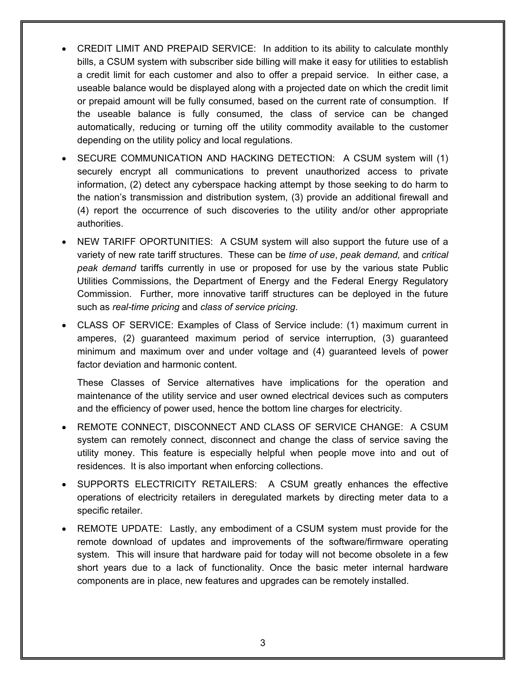- CREDIT LIMIT AND PREPAID SERVICE: In addition to its ability to calculate monthly bills, a CSUM system with subscriber side billing will make it easy for utilities to establish a credit limit for each customer and also to offer a prepaid service. In either case, a useable balance would be displayed along with a projected date on which the credit limit or prepaid amount will be fully consumed, based on the current rate of consumption. If the useable balance is fully consumed, the class of service can be changed automatically, reducing or turning off the utility commodity available to the customer depending on the utility policy and local regulations.
- SECURE COMMUNICATION AND HACKING DETECTION: A CSUM system will (1) securely encrypt all communications to prevent unauthorized access to private information, (2) detect any cyberspace hacking attempt by those seeking to do harm to the nation's transmission and distribution system, (3) provide an additional firewall and (4) report the occurrence of such discoveries to the utility and/or other appropriate authorities.
- · NEW TARIFF OPORTUNITIES: A CSUM system will also support the future use of a variety of new rate tariff structures. These can be *time of use*, *peak demand,* and *critical peak demand* tariffs currently in use or proposed for use by the various state Public Utilities Commissions, the Department of Energy and the Federal Energy Regulatory Commission. Further, more innovative tariff structures can be deployed in the future such as *real-time pricing* and *class of service pricing*.
- · CLASS OF SERVICE: Examples of Class of Service include: (1) maximum current in amperes, (2) guaranteed maximum period of service interruption, (3) guaranteed minimum and maximum over and under voltage and (4) guaranteed levels of power factor deviation and harmonic content.

These Classes of Service alternatives have implications for the operation and maintenance of the utility service and user owned electrical devices such as computers and the efficiency of power used, hence the bottom line charges for electricity.

- REMOTE CONNECT, DISCONNECT AND CLASS OF SERVICE CHANGE: A CSUM system can remotely connect, disconnect and change the class of service saving the utility money. This feature is especially helpful when people move into and out of residences. It is also important when enforcing collections.
- · SUPPORTS ELECTRICITY RETAILERS: A CSUM greatly enhances the effective operations of electricity retailers in deregulated markets by directing meter data to a specific retailer.
- · REMOTE UPDATE: Lastly, any embodiment of a CSUM system must provide for the remote download of updates and improvements of the software/firmware operating system. This will insure that hardware paid for today will not become obsolete in a few short years due to a lack of functionality. Once the basic meter internal hardware components are in place, new features and upgrades can be remotely installed.